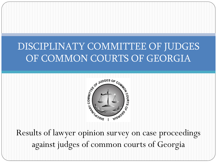# DISCIPLINATY COMMITTEE OF JUDGES OF COMMON COURTS OF GEORGIA



Results of lawyer opinion survey on case proceedings against judges of common courts of Georgia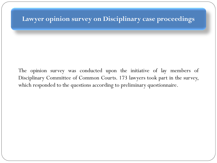### **Lawyer opinion survey on Disciplinary case proceedings**

The opinion survey was conducted upon the initiative of lay members of Disciplinary Committee of Common Courts. 173 lawyers took part in the survey, which responded to the questions according to preliminary questionnaire.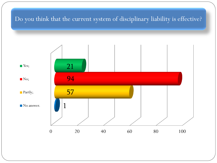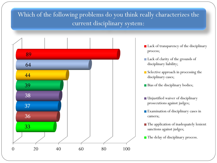# Which of the following problems do you think really characterizes the current disciplinary system:

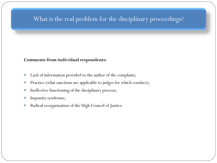### What is the real problem for the disciplinary proceedings?

#### **Comments from individual respondents:**

- Lack of information provided to the author of the complaint;
- Practice (what sanctions are applicable to judges for which conduct);
- Ineffective functioning of the disciplinary process;
- Impunity syndrome;
- Radical reorganization of the High Council of Justice.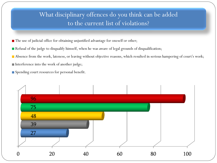# What disciplinary offences do you think can be added to the current list of violations?

- The use of judicial office for obtaining unjustified advantage for oneself or other;
- Refusal of the judge to disqualify himself, when he was aware of legal grounds of disqualification;
- Absence from the work, lateness, or leaving without objective reasons, which resulted in serious hampering of court's work;
- Interference into the work of another judge;
- Spending court resources for personal benefit.

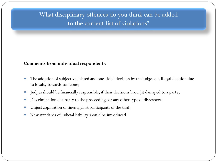# What disciplinary offences do you think can be added to the current list of violations?

#### **Comments from individual respondents:**

- The adoption of subjective, biased and one-sided decision by the judge, e.i. illegal decision due to loyalty towards someone;
- Judges should be financially responsible, if their decisions brought damaged to a party;
- Discrimination of a party to the proceedings or any other type of disrespect;
- Unjust application of fines against participants of the trial;
- New standards of judicial liability should be introduced.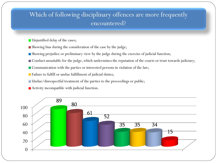## Which of following disciplinary offences are more frequently encountered?

- **Unjustified delay of the cases;**
- Showing bias during the consideration of the case by the judge;
- Showing prejudice or preliminary view by the judge during the exercise of judicial function;
- Conduct unsuitable for the judge, which undermines the reputation of the courts or trust towards judiciary;
- Communication with the parties or interested persons in violation of the law;
- **Failure to fulfill or undue fulfillment of judicial duties;**
- Undue/disrespectful treatment of the parties to the proceedings or public;
- Activity incompatible with judicial function.

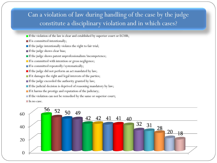## Can a violation of law during handling of the case by the judge constitute a disciplinary violation and in which cases?

- If the violation of the law is clear and established by superior court or ECHR;
- If is committed intentionally;
- If the judge intentionally violates the right to fair trial;
- If the judge shows clear bias;
- If the judge shows patent unprofessionalism/incompetence;
- If is committed with intention or gross negligence;
- **If is committed repeatedly/systematically;**
- If the judge did not perform an act mandated by law;
- If it damages the right and legal interests of the parties;
- If the judge exceeded the authority granted by law;
- $\blacksquare$  If the judicial decision is deprived of reasoning mandatory by law;
- If it harms the prestige and reputation of the judiciary;
- If the violation can not be remedied by the same or superior court;
- In no case.

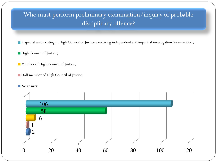# Who must perform preliminary examination/inquiry of probable disciplinary offence?

A special unit existing in High Council of Justice exercising independent and impartial investigation/examination;

- **High Council of Justice;**
- **Member of High Council of Justice;**
- Staff member of High Council of Justice;
- No answer.

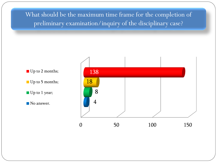What should be the maximum time frame for the completion of preliminary examination/inquiry of the disciplinary case?

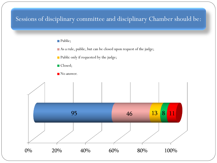### Sessions of disciplinary committee and disciplinary Chamber should be:

#### Public;

As a rule, public, but can be closed upon request of the judge;

**Public only if requested by the judge;** 

■ Closed;



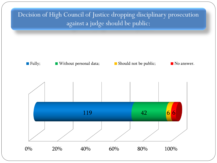# Decision of High Council of Justice dropping disciplinary prosecution against a judge should be public:

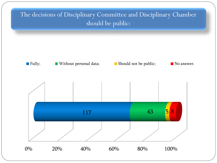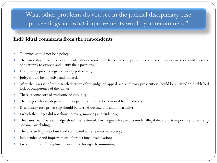# What other problems do you see in the judicial disciplinary case proceedings and what improvements would you recommend?

### **Individual comments from the respondents**

- Tolerance should not be a policy;
- The cases should be processed openly, all decisions must be public except for special cases; Besides parties should have the opportunity to express and justify their positions;
- Disciplinary proceedings are mainly politicized;
- Judge should be objective and impartial;
- After the reversal of every tenth decision of the judge on appeal, a disciplinary prosecution should be initiated to established lack of competence of the judge;
- There is some sort of syndrome of impunity;
- The judges who are deprived of independence should be removed from judiciary;
- Disciplinary case processing should be carried out lawfully and impartially;
- I which the judges did not show no irony, mocking and rudeness;
- The cases heard by each judge should be reviewed. For judges who used to render illegal decisions is impossible to suddenly become law abiding;
- The proceedings are closed and conducted under excessive secrecy;
- Independence and improvement of professional qualification;
- I wish number of disciplinary cases to be brought to minimum;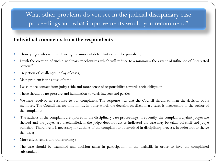# What other problems do you see in the judicial disciplinary case proceedings and what improvements would you recommend?

### **Individual comments from the respondents**

- Those judges who were sentencing the innocent defendants should be punished;
- I wish the creation of such disciplinary mechanisms which will reduce to a minimum the extent of influence of "interested persons";
- Rejection of challenges, delay of cases;
- Main problem is the abuse of time;
- I wish more contact from judges side and more sense of responsibility towards their obligation;
- There should be no pressure and humiliation towards lawyers and parties;
- We have received no response to our complaints. The response was that the Council should confirm the decision of its members. The Council has no time limits. In other words the decision on disciplinary cases is inaccessible to the author of the complaint;
- The authors of the complaint are ignored in the disciplinary case proceedings. Frequently, the complaints against judges are shelved and the judges are blackmailed. If the judge does not act as indicated the case may be taken off shelf and judge punished. Therefore it is necessary for authors of the complaint to be involved in disciplinary process, in order not to shelve the cases;
- More effectiveness and transparency;
- The case should be examined and decision taken in participation of the plaintiff, in order to have the complained substantiated.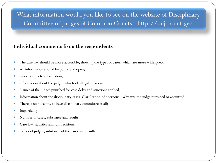# What information would you like to see on the website of Disciplinary Committee of Judges of Common Courts - http://dcj.court.ge/

### **Individual comments from the respondents**

- The case law should be more accessible, showing the types of cases, which are more widespread;
- All information should be public and open;
- more complete information;
- information about the judges who took illegal decisions;
- Names of the judges punished for case delay and sanctions applied;
- Information about the disciplinary cases. Clarification of decisions why was the judge punished or acquitted;
- There is no necessity to have disciplinary committee at all;
- Impartiality;
- Number of cases, substance and results;
- Case law, statistics and full decisions;
- names of judges, substance of the cases and results.